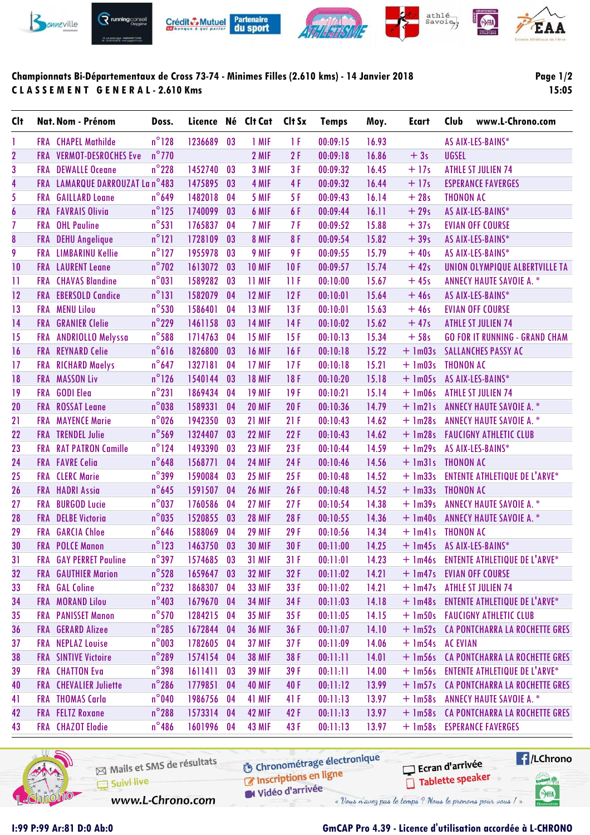

## **Championnats Bi-Départementaux de Cross 73-74 - Minimes Filles (2.610 kms) - 14 Janvier 2018 C L A S S E M E N T G E N E R A L - 2.610 Kms**

## **Page 1/2**

**15:05**

| <b>C</b> It      |            | Nat. Nom - Prénom             | Doss.           | Licence Né Clt Cat |    |               | Clt Sx | <b>Temps</b> | Moy.  | <b>Ecart</b>     | Club             | www.L-Chrono.com                       |
|------------------|------------|-------------------------------|-----------------|--------------------|----|---------------|--------|--------------|-------|------------------|------------------|----------------------------------------|
| 1                |            | <b>FRA</b> CHAPEL Mathilde    | $n^{\circ}128$  | 1236689            | 03 | 1 MIF         | 1 F    | 00:09:15     | 16.93 |                  |                  | AS AIX-LES-BAINS*                      |
| $\overline{2}$   | <b>FRA</b> | <b>VERMOT-DESROCHES Eve</b>   | $n^{\circ}$ 770 |                    |    | 2 MIF         | 2F     | 00:09:18     | 16.86 | $+3s$            | <b>UGSEL</b>     |                                        |
| 3                |            | <b>FRA</b> DEWALLE Oceane     | $n^{\circ}$ 228 | 1452740            | 03 | 3 MIF         | 3F     | 00:09:32     | 16.45 | $+17s$           |                  | <b>ATHLE ST JULIEN 74</b>              |
| 4                | <b>FRA</b> | LAMARQUE DARROUZAT La n°483   |                 | 1475895            | 03 | 4 MIF         | 4F     | 00:09:32     | 16.44 | $+17s$           |                  | <b>ESPERANCE FAVERGES</b>              |
| 5                | <b>FRA</b> | <b>GAILLARD Loane</b>         | $n^{\circ}$ 649 | 1482018            | 04 | 5 MIF         | 5F     | 00:09:43     | 16.14 | $+28s$           | <b>THONON AC</b> |                                        |
| $\boldsymbol{6}$ |            | <b>FRA FAVRAIS Olivia</b>     | $n^{\circ}$ 125 | 1740099            | 03 | 6 MIF         | 6F     | 00:09:44     | 16.11 | $+29s$           |                  | AS AIX-LES-BAINS*                      |
| $\overline{1}$   |            | <b>FRA</b> OHL Pauline        | $n^{\circ}531$  | 1765837            | 04 | 7 MIF         | 7 F    | 00:09:52     | 15.88 | $+37s$           |                  | <b>EVIAN OFF COURSE</b>                |
| 8                |            | FRA DEHU Angelique            | $n^{\circ}121$  | 1728109            | 03 | 8 MIF         | 8F     | 00:09:54     | 15.82 | $+39s$           |                  | AS AIX-LES-BAINS*                      |
| 9                |            | <b>FRA</b> LIMBARINU Kellie   | $n^{\circ}$ 127 | 1955978            | 03 | 9 MIF         | 9 F    | 00:09:55     | 15.79 | $+40s$           |                  | AS AIX-LES-BAINS*                      |
| 10               |            | <b>FRA</b> LAURENT Leane      | $n^{\circ}$ 702 | 1613072            | 03 | <b>10 MIF</b> | 10F    | 00:09:57     | 15.74 | $+42s$           |                  | UNION OLYMPIQUE ALBERTVILLE TA         |
| $\mathbf{1}$     |            | <b>FRA</b> CHAVAS Blandine    | $n^{\circ}031$  | 1589282            | 03 | 11 MIF        | 11F    | 00:10:00     | 15.67 | $+45s$           |                  | <b>ANNECY HAUTE SAVOIE A. *</b>        |
| 12               |            | <b>FRA EBERSOLD Candice</b>   | $n^{\circ}131$  | 1582079            | 04 | <b>12 MIF</b> | 12F    | 00:10:01     | 15.64 | $+46s$           |                  | AS AIX-LES-BAINS*                      |
| 13               |            | <b>FRA MENU Lilou</b>         | $n^{\circ}$ 530 | 1586401            | 04 | <b>13 MIF</b> | 13F    | 00:10:01     | 15.63 | $+46s$           |                  | <b>EVIAN OFF COURSE</b>                |
| 14               |            | <b>FRA</b> GRANIER Clelie     | $n^{\circ}$ 229 | 1461158            | 03 | <b>14 MIF</b> | 14F    | 00:10:02     | 15.62 | $+47s$           |                  | <b>ATHLE ST JULIEN 74</b>              |
| 15               | <b>FRA</b> | <b>ANDRIOLLO Melyssa</b>      | $n^{\circ}$ 588 | 1714763            | 04 | <b>15 MIF</b> | 15F    | 00:10:13     | 15.34 | $+58s$           |                  | <b>GO FOR IT RUNNING - GRAND CHAM</b>  |
| 16               | <b>FRA</b> | <b>REYNARD Celie</b>          | $n^{\circ}616$  | 1826800            | 03 | <b>16 MIF</b> | 16F    | 00:10:18     | 15.22 | $+$ 1m03s        |                  | <b>SALLANCHES PASSY AC</b>             |
| 17               |            | FRA RICHARD Maelys            | $n^{\circ}$ 647 | 1327181            | 04 | <b>17 MIF</b> | 17F    | 00:10:18     | 15.21 | $+ 1m03s$        | <b>THONON AC</b> |                                        |
| 18               |            | <b>FRA MASSON Liv</b>         | $n^{\circ}$ 126 | 1540144            | 03 | <b>18 MIF</b> | 18F    | 00:10:20     | 15.18 | $+$ 1m05s        |                  | AS AIX-LES-BAINS*                      |
| 19               |            | FRA GODI Elea                 | $n^{\circ}231$  | 1869434            | 04 | <b>19 MIF</b> | 19F    | 00:10:21     | 15.14 | $+$ 1m06s        |                  | <b>ATHLE ST JULIEN 74</b>              |
| 20               | <b>FRA</b> | <b>ROSSAT Leane</b>           | $n^{\circ}038$  | 1589331            | 04 | <b>20 MIF</b> | 20F    | 00:10:36     | 14.79 | $+$ 1m21s        |                  | <b>ANNECY HAUTE SAVOIE A. *</b>        |
| 21               | <b>FRA</b> | <b>MAYENCE Marie</b>          | $n^{\circ}$ 026 | 1942350            | 03 | <b>21 MIF</b> | 21F    | 00:10:43     | 14.62 | $+$ 1m28s        |                  | <b>ANNECY HAUTE SAVOIE A. *</b>        |
| 22               |            | <b>FRA TRENDEL Julie</b>      | $n^{\circ}$ 569 | 1324407            | 03 | <b>22 MIF</b> | 22F    | 00:10:43     | 14.62 | $+$ 1m28s        |                  | <b>FAUCIGNY ATHLETIC CLUB</b>          |
| 23               | <b>FRA</b> | <b>RAT PATRON Camille</b>     | $n^{\circ}$ 124 | 1493390            | 03 | <b>23 MIF</b> | 23F    | 00:10:44     | 14.59 | $+$ 1m29s        |                  | AS AIX-LES-BAINS*                      |
| 24               |            | <b>FRA</b> FAVRE Celia        | $n^{\circ}$ 648 | 1568771            | 04 | <b>24 MIF</b> | 24F    | 00:10:46     | 14.56 | $+$ 1m31s        | <b>THONON AC</b> |                                        |
| 25               |            | <b>FRA CLERC</b> Marie        | $n^{\circ}$ 399 | 1590084            | 03 | <b>25 MIF</b> | 25F    | 00:10:48     | 14.52 | $+ \ln 33s$      |                  | <b>ENTENTE ATHLETIQUE DE L'ARVE*</b>   |
| 26               |            | <b>FRA HADRI Assia</b>        | $n^{\circ}$ 645 | 1591507            | 04 | <b>26 MIF</b> | 26F    | 00:10:48     | 14.52 | $+$ 1m33s        | <b>THONON AC</b> |                                        |
| 27               | <b>FRA</b> | <b>BURGOD Lucie</b>           | $n^{\circ}$ 037 | 1760586            | 04 | 27 MIF        | 27F    | 00:10:54     | 14.38 | $+$ 1m39s        |                  | <b>ANNECY HAUTE SAVOIE A. *</b>        |
| 28               |            | <b>FRA</b> DELBE Victoria     | $n^{\circ}$ 035 | 1520855            | 03 | <b>28 MIF</b> | 28F    | 00:10:55     | 14.36 | $+$ 1m40s        |                  | <b>ANNECY HAUTE SAVOIE A. *</b>        |
| 29               | FRA        | <b>GARCIA Chloe</b>           | $n^{\circ}$ 646 | 1588069            | 04 | <b>29 MIF</b> | 29F    | 00:10:56     | 14.34 | $+$ 1m41s        | <b>THONON AC</b> |                                        |
| 30               |            | <b>FRA POLCE Manon</b>        | $n^{\circ}$ 123 | 1463750            | 03 | <b>30 MIF</b> | 30F    | 00:11:00     | 14.25 |                  |                  | + 1m45s AS AIX-LES-BAINS*              |
| 31               |            | <b>FRA</b> GAY PERRET Pauline | $n^{\circ}$ 397 | 1574685            | 03 | <b>31 MIF</b> | 31F    | 00:11:01     | 14.23 |                  |                  | + 1m46s ENTENTE ATHLETIQUE DE L'ARVE*  |
| 32               |            | <b>FRA</b> GAUTHIER Marion    | $n^{\circ}$ 528 | 1659647            | 03 | <b>32 MIF</b> | 32F    | 00:11:02     | 14.21 | $+$ 1m47s        |                  | <b>EVIAN OFF COURSE</b>                |
| 33               |            | <b>FRA</b> GAL Coline         | $n^{\circ}$ 232 | 1868307            | 04 | <b>33 MIF</b> | 33 F   | 00:11:02     | 14.21 | $+$ 1m47s        |                  | <b>ATHLE ST JULIEN 74</b>              |
| 34               |            | <b>FRA MORAND Lilou</b>       | $n^{\circ}$ 403 | 1679670            | 04 | <b>34 MIF</b> | 34 F   | 00:11:03     | 14.18 |                  |                  | + 1m48s ENTENTE ATHLETIQUE DE L'ARVE*  |
| 35               |            | <b>FRA</b> PANISSET Manon     | $n^{\circ}$ 570 | 1284215            | 04 | <b>35 MIF</b> | 35F    | 00:11:05     | 14.15 |                  |                  | + 1m50s FAUCIGNY ATHLETIC CLUB         |
| 36               |            | <b>FRA GERARD Alizee</b>      | $n^{\circ}$ 285 | 1672844            | 04 | <b>36 MIF</b> | 36 F   | 00:11:07     | 14.10 | $+$ 1m52s        |                  | CA PONTCHARRA LA ROCHETTE GRES         |
| 37               |            | FRA NEPLAZ Louise             | $n^{\circ}$ 003 | 1782605            | 04 | <b>37 MIF</b> | 37F    | 00:11:09     | 14.06 | + 1m54s AC EVIAN |                  |                                        |
| 38               |            | <b>FRA</b> SINTIVE Victoire   | $n^{\circ}$ 289 | 1574154            | 04 | <b>38 MIF</b> | 38 F   | 00:11:11     | 14.01 | $+$ 1m56s        |                  | CA PONTCHARRA LA ROCHETTE GRES         |
| 39               |            | <b>FRA</b> CHATTON Eva        | $n^{\circ}$ 398 | 1611411            | 03 | <b>39 MIF</b> | 39 F   | 00:11:11     | 14.00 |                  |                  | + 1m56s ENTENTE ATHLETIQUE DE L'ARVE*  |
| 40               |            | <b>FRA</b> CHEVALIER Juliette | $n^{\circ}$ 286 | 1779851            | 04 | <b>40 MIF</b> | 40 F   | 00:11:12     | 13.99 |                  |                  | + 1m57s CA PONTCHARRA LA ROCHETTE GRES |
| 41               |            | <b>FRA THOMAS Carla</b>       | $n^{\circ}$ 040 | 1986756            | 04 | 41 MIF        | 41 F   | 00:11:13     | 13.97 | $+$ 1m58s        |                  | <b>ANNECY HAUTE SAVOIE A. *</b>        |
| 42               |            | <b>FRA</b> FELTZ Roxane       | $n^{\circ}$ 288 | 1573314            | 04 | <b>42 MIF</b> | 42 F   | 00:11:13     | 13.97 | $+$ 1m58s        |                  | CA PONTCHARRA LA ROCHETTE GRES         |
| 43               |            | <b>FRA</b> CHAZOT Elodie      | $n^{\circ}$ 486 | 1601996            | 04 | <b>43 MIF</b> | 43 F   | 00:11:13     | 13.97 |                  |                  | + 1m58s ESPERANCE FAVERGES             |



**6** Chronométrage électronique Mails et SMS de résultats Chronomedage Suivi live W Vidéo d'arrivée www.L-Chrono.com

« Vous n'avez pas le temps ? Nous le prenons pour vous !

Ecran d'arrivée

Tablette speaker

**Exercise** 

tabel<sup>1</sup>

SHA